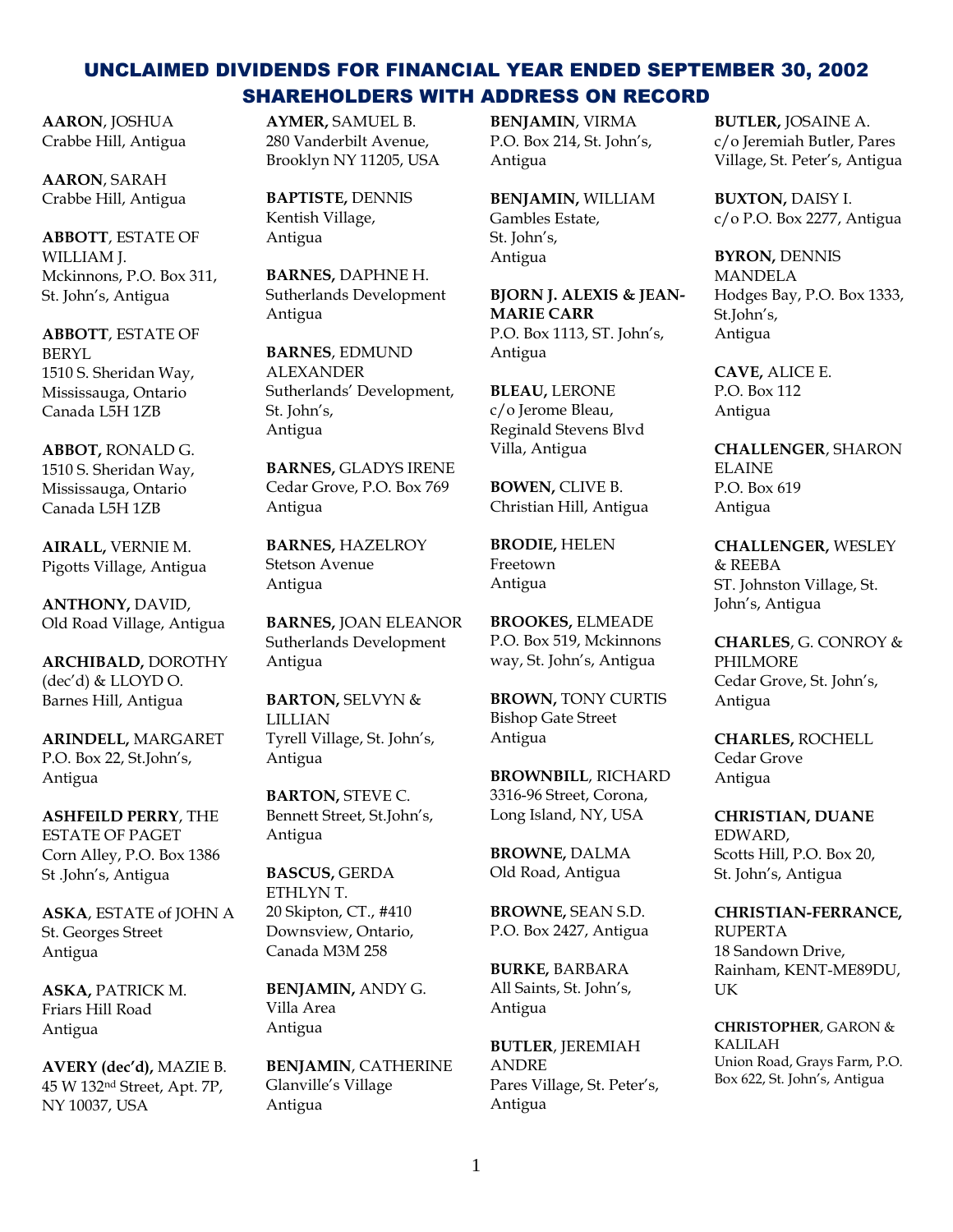**AARON**, JOSHUA Crabbe Hill, Antigua

**AARON**, SARAH Crabbe Hill, Antigua

**ABBOTT**, ESTATE OF WILLIAM J. Mckinnons, P.O. Box 311, St. John's, Antigua

**ABBOTT**, ESTATE OF BERYL 1510 S. Sheridan Way, Mississauga, Ontario Canada L5H 1ZB

**ABBOT,** RONALD G. 1510 S. Sheridan Way, Mississauga, Ontario Canada L5H 1ZB

**AIRALL,** VERNIE M. Pigotts Village, Antigua

**ANTHONY,** DAVID, Old Road Village, Antigua

**ARCHIBALD,** DOROTHY (dec'd) & LLOYD O. Barnes Hill, Antigua

**ARINDELL,** MARGARET P.O. Box 22, St.John's, Antigua

**ASHFEILD PERRY**, THE ESTATE OF PAGET Corn Alley, P.O. Box 1386 St .John's, Antigua

**ASKA**, ESTATE of JOHN A St. Georges Street Antigua

**ASKA,** PATRICK M. Friars Hill Road Antigua

**AVERY (dec'd),** MAZIE B. 45 W 132nd Street, Apt. 7P, NY 10037, USA

**AYMER,** SAMUEL B. 280 Vanderbilt Avenue, Brooklyn NY 11205, USA

**BAPTISTE,** DENNIS Kentish Village, Antigua

**BARNES,** DAPHNE H. Sutherlands Development Antigua

**BARNES**, EDMUND **ALEXANDER** Sutherlands' Development, St. John's, Antigua

**BARNES,** GLADYS IRENE Cedar Grove, P.O. Box 769 Antigua

**BARNES,** HAZELROY Stetson Avenue Antigua

**BARNES,** JOAN ELEANOR Sutherlands Development Antigua

**BARTON,** SELVYN & LILLIAN Tyrell Village, St. John's, Antigua

**BARTON,** STEVE C. Bennett Street, St.John's, Antigua

**BASCUS,** GERDA ETHLYN T. 20 Skipton, CT., #410 Downsview, Ontario, Canada M3M 258

**BENJAMIN,** ANDY G. Villa Area Antigua

**BENJAMIN**, CATHERINE Glanville's Village Antigua

**BENJAMIN**, VIRMA P.O. Box 214, St. John's, Antigua

**BENJAMIN,** WILLIAM Gambles Estate, St. John's, Antigua

**BJORN J. ALEXIS & JEAN-MARIE CARR** P.O. Box 1113, ST. John's, Antigua

**BLEAU,** LERONE c/o Jerome Bleau, Reginald Stevens Blvd Villa, Antigua

**BOWEN,** CLIVE B. Christian Hill, Antigua

**BRODIE,** HELEN Freetown Antigua

**BROOKES,** ELMEADE P.O. Box 519, Mckinnons way, St. John's, Antigua

**BROWN,** TONY CURTIS Bishop Gate Street Antigua

**BROWNBILL**, RICHARD 3316-96 Street, Corona, Long Island, NY, USA

**BROWNE,** DALMA Old Road, Antigua

**BROWNE,** SEAN S.D. P.O. Box 2427, Antigua

**BURKE,** BARBARA All Saints, St. John's, Antigua

**BUTLER**, JEREMIAH ANDRE Pares Village, St. Peter's, Antigua

**BUTLER,** JOSAINE A. c/o Jeremiah Butler, Pares Village, St. Peter's, Antigua

**BUXTON,** DAISY I. c/o P.O. Box 2277, Antigua

**BYRON,** DENNIS MANDELA Hodges Bay, P.O. Box 1333, St.John's, Antigua

**CAVE,** ALICE E. P.O. Box 112 Antigua

**CHALLENGER**, SHARON ELAINE P.O. Box 619 Antigua

**CHALLENGER,** WESLEY & REEBA ST. Johnston Village, St. John's, Antigua

**CHARLES**, G. CONROY & PHILMORE Cedar Grove, St. John's, Antigua

**CHARLES,** ROCHELL Cedar Grove Antigua

**CHRISTIAN, DUANE** EDWARD, Scotts Hill, P.O. Box 20, St. John's, Antigua

**CHRISTIAN-FERRANCE,** RUPERTA 18 Sandown Drive, Rainham, KENT-ME89DU, UK

**CHRISTOPHER**, GARON & KALILAH Union Road, Grays Farm, P.O. Box 622, St. John's, Antigua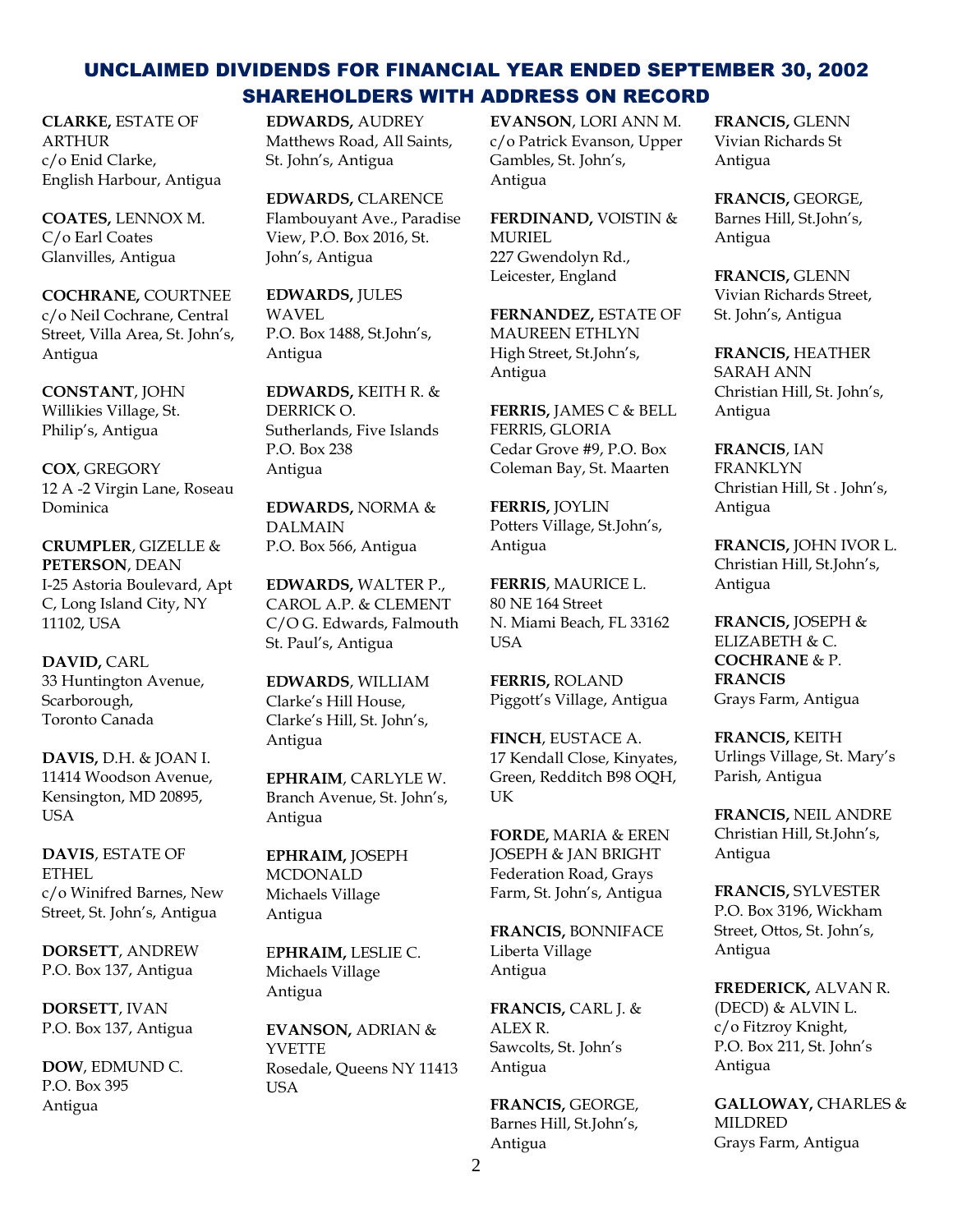**CLARKE,** ESTATE OF **ARTHUR** c/o Enid Clarke, English Harbour, Antigua

**COATES,** LENNOX M. C/o Earl Coates Glanvilles, Antigua

**COCHRANE,** COURTNEE c/o Neil Cochrane, Central Street, Villa Area, St. John's, Antigua

**CONSTANT**, JOHN Willikies Village, St. Philip's, Antigua

**COX**, GREGORY 12 A -2 Virgin Lane, Roseau Dominica

**CRUMPLER**, GIZELLE & **PETERSON**, DEAN I-25 Astoria Boulevard, Apt C, Long Island City, NY 11102, USA

**DAVID,** CARL 33 Huntington Avenue, Scarborough, Toronto Canada

**DAVIS,** D.H. & JOAN I. 11414 Woodson Avenue, Kensington, MD 20895, USA

**DAVIS**, ESTATE OF ETHEL c/o Winifred Barnes, New Street, St. John's, Antigua

**DORSETT**, ANDREW P.O. Box 137, Antigua

**DORSETT**, IVAN P.O. Box 137, Antigua

**DOW**, EDMUND C. P.O. Box 395 Antigua

**EDWARDS,** AUDREY Matthews Road, All Saints, St. John's, Antigua

**EDWARDS,** CLARENCE Flambouyant Ave., Paradise View, P.O. Box 2016, St. John's, Antigua

**EDWARDS,** JULES WAVEL P.O. Box 1488, St.John's, Antigua

**EDWARDS,** KEITH R. & DERRICK O. Sutherlands, Five Islands P.O. Box 238 Antigua

**EDWARDS,** NORMA & DALMAIN P.O. Box 566, Antigua

**EDWARDS,** WALTER P., CAROL A.P. & CLEMENT C/O G. Edwards, Falmouth St. Paul's, Antigua

**EDWARDS**, WILLIAM Clarke's Hill House, Clarke's Hill, St. John's, Antigua

**EPHRAIM**, CARLYLE W. Branch Avenue, St. John's, Antigua

**EPHRAIM,** JOSEPH MCDONALD Michaels Village Antigua

E**PHRAIM,** LESLIE C. Michaels Village Antigua

**EVANSON,** ADRIAN & **YVETTE** Rosedale, Queens NY 11413 USA

**EVANSON**, LORI ANN M. c/o Patrick Evanson, Upper Gambles, St. John's, Antigua

**FERDINAND,** VOISTIN & MURIEL 227 Gwendolyn Rd., Leicester, England

**FERNANDEZ,** ESTATE OF MAUREEN ETHLYN High Street, St.John's, Antigua

**FERRIS,** JAMES C & BELL FERRIS, GLORIA Cedar Grove #9, P.O. Box Coleman Bay, St. Maarten

**FERRIS,** JOYLIN Potters Village, St.John's, Antigua

**FERRIS**, MAURICE L. 80 NE 164 Street N. Miami Beach, FL 33162 **USA** 

**FERRIS,** ROLAND Piggott's Village, Antigua

**FINCH**, EUSTACE A. 17 Kendall Close, Kinyates, Green, Redditch B98 OQH, UK

**FORDE,** MARIA & EREN JOSEPH & JAN BRIGHT Federation Road, Grays Farm, St. John's, Antigua

**FRANCIS,** BONNIFACE Liberta Village Antigua

**FRANCIS,** CARL J. & ALEX R. Sawcolts, St. John's Antigua

**FRANCIS,** GEORGE, Barnes Hill, St.John's, Antigua

**FRANCIS,** GLENN Vivian Richards St Antigua

**FRANCIS,** GEORGE, Barnes Hill, St.John's, Antigua

**FRANCIS,** GLENN Vivian Richards Street, St. John's, Antigua

**FRANCIS,** HEATHER SARAH ANN Christian Hill, St. John's, Antigua

**FRANCIS**, IAN FRANKLYN Christian Hill, St . John's, Antigua

**FRANCIS,** JOHN IVOR L. Christian Hill, St.John's, Antigua

**FRANCIS,** JOSEPH & ELIZABETH & C. **COCHRANE** & P. **FRANCIS** Grays Farm, Antigua

**FRANCIS,** KEITH Urlings Village, St. Mary's Parish, Antigua

**FRANCIS,** NEIL ANDRE Christian Hill, St.John's, Antigua

**FRANCIS,** SYLVESTER P.O. Box 3196, Wickham Street, Ottos, St. John's, Antigua

**FREDERICK,** ALVAN R. (DECD) & ALVIN L. c/o Fitzroy Knight, P.O. Box 211, St. John's Antigua

**GALLOWAY,** CHARLES & MILDRED Grays Farm, Antigua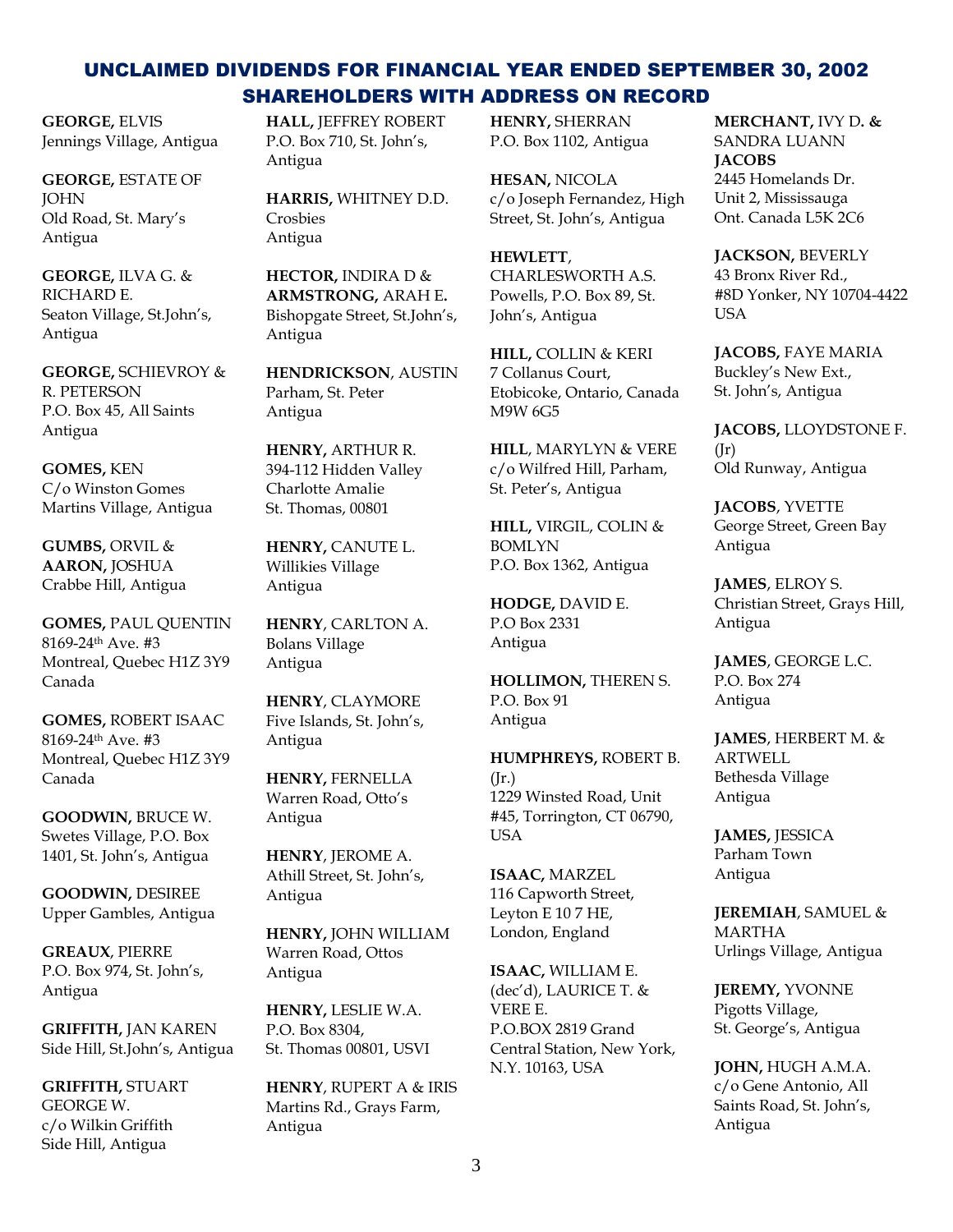**GEORGE,** ELVIS Jennings Village, Antigua

**GEORGE,** ESTATE OF **JOHN** Old Road, St. Mary's Antigua

**GEORGE,** ILVA G. & RICHARD E. Seaton Village, St.John's, Antigua

**GEORGE,** SCHIEVROY & R. PETERSON P.O. Box 45, All Saints Antigua

**GOMES,** KEN C/o Winston Gomes Martins Village, Antigua

**GUMBS,** ORVIL & **AARON,** JOSHUA Crabbe Hill, Antigua

**GOMES,** PAUL QUENTIN 8169-24th Ave. #3 Montreal, Quebec H1Z 3Y9 Canada

**GOMES,** ROBERT ISAAC 8169-24th Ave. #3 Montreal, Quebec H1Z 3Y9 Canada

**GOODWIN,** BRUCE W. Swetes Village, P.O. Box 1401, St. John's, Antigua

**GOODWIN,** DESIREE Upper Gambles, Antigua

**GREAUX**, PIERRE P.O. Box 974, St. John's, Antigua

**GRIFFITH,** JAN KAREN Side Hill, St.John's, Antigua

**GRIFFITH,** STUART GEORGE W. c/o Wilkin Griffith Side Hill, Antigua

**HALL,** JEFFREY ROBERT P.O. Box 710, St. John's, Antigua

**HARRIS,** WHITNEY D.D. Crosbies Antigua

**HECTOR,** INDIRA D & **ARMSTRONG,** ARAH E**.** Bishopgate Street, St.John's, Antigua

**HENDRICKSON**, AUSTIN Parham, St. Peter Antigua

**HENRY,** ARTHUR R. 394-112 Hidden Valley Charlotte Amalie St. Thomas, 00801

**HENRY,** CANUTE L. Willikies Village Antigua

**HENRY**, CARLTON A. Bolans Village Antigua

**HENRY**, CLAYMORE Five Islands, St. John's, Antigua

**HENRY,** FERNELLA Warren Road, Otto's Antigua

**HENRY**, JEROME A. Athill Street, St. John's, Antigua

**HENRY,** JOHN WILLIAM Warren Road, Ottos Antigua

**HENRY,** LESLIE W.A. P.O. Box 8304, St. Thomas 00801, USVI

**HENRY**, RUPERT A & IRIS Martins Rd., Grays Farm, Antigua

**HENRY,** SHERRAN P.O. Box 1102, Antigua

**HESAN,** NICOLA c/o Joseph Fernandez, High Street, St. John's, Antigua

**HEWLETT**, CHARLESWORTH A.S. Powells, P.O. Box 89, St. John's, Antigua

**HILL,** COLLIN & KERI 7 Collanus Court, Etobicoke, Ontario, Canada M9W 6G5

**HILL**, MARYLYN & VERE c/o Wilfred Hill, Parham, St. Peter's, Antigua

**HILL,** VIRGIL, COLIN & BOMLYN P.O. Box 1362, Antigua

**HODGE,** DAVID E. P.O Box 2331 Antigua

**HOLLIMON,** THEREN S. P.O. Box 91 Antigua

**HUMPHREYS,** ROBERT B.  $(\text{Ir.})$ 1229 Winsted Road, Unit #45, Torrington, CT 06790, **USA** 

**ISAAC,** MARZEL 116 Capworth Street, Leyton E 10 7 HE, London, England

**ISAAC,** WILLIAM E. (dec'd), LAURICE T. & VERE E. P.O.BOX 2819 Grand Central Station, New York, N.Y. 10163, USA

**MERCHANT,** IVY D**. &**  SANDRA LUANN **JACOBS** 2445 Homelands Dr. Unit 2, Mississauga Ont. Canada L5K 2C6

**JACKSON,** BEVERLY 43 Bronx River Rd., #8D Yonker, NY 10704-4422 **USA** 

**JACOBS,** FAYE MARIA Buckley's New Ext., St. John's, Antigua

**JACOBS,** LLOYDSTONE F.  $(Ir)$ Old Runway, Antigua

**JACOBS**, YVETTE George Street, Green Bay Antigua

**JAMES**, ELROY S. Christian Street, Grays Hill, Antigua

**JAMES**, GEORGE L.C. P.O. Box 274 Antigua

**JAMES**, HERBERT M. & ARTWELL Bethesda Village Antigua

**JAMES,** JESSICA Parham Town Antigua

**JEREMIAH**, SAMUEL & MARTHA Urlings Village, Antigua

**JEREMY,** YVONNE Pigotts Village, St. George's, Antigua

**JOHN,** HUGH A.M.A. c/o Gene Antonio, All Saints Road, St. John's, Antigua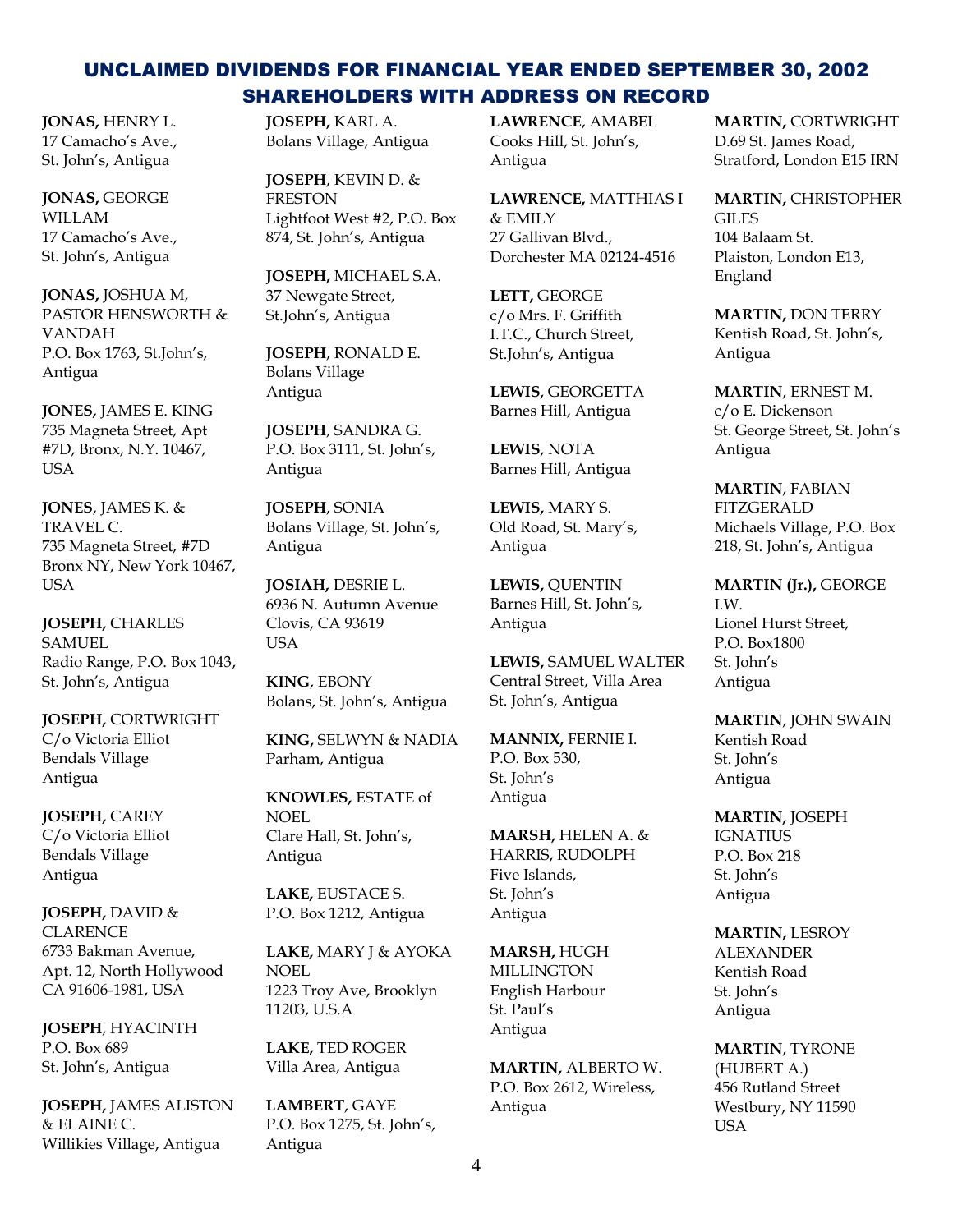**JONAS,** HENRY L. 17 Camacho's Ave., St. John's, Antigua

**JONAS,** GEORGE WILLAM 17 Camacho's Ave., St. John's, Antigua

**JONAS,** JOSHUA M, PASTOR HENSWORTH & VANDAH P.O. Box 1763, St.John's, Antigua

**JONES,** JAMES E. KING 735 Magneta Street, Apt #7D, Bronx, N.Y. 10467, USA

**JONES**, JAMES K. & TRAVEL C. 735 Magneta Street, #7D Bronx NY, New York 10467, USA

**JOSEPH,** CHARLES SAMUEL Radio Range, P.O. Box 1043, St. John's, Antigua

**JOSEPH,** CORTWRIGHT C/o Victoria Elliot Bendals Village Antigua

**JOSEPH,** CAREY C/o Victoria Elliot Bendals Village Antigua

**JOSEPH,** DAVID & **CLARENCE** 6733 Bakman Avenue, Apt. 12, North Hollywood CA 91606-1981, USA

**JOSEPH**, HYACINTH P.O. Box 689 St. John's, Antigua

**JOSEPH,** JAMES ALISTON & ELAINE C. Willikies Village, Antigua

**JOSEPH,** KARL A. Bolans Village, Antigua

**JOSEPH**, KEVIN D. & FRESTON Lightfoot West #2, P.O. Box 874, St. John's, Antigua

**JOSEPH,** MICHAEL S.A. 37 Newgate Street, St.John's, Antigua

**JOSEPH**, RONALD E. Bolans Village Antigua

**JOSEPH**, SANDRA G. P.O. Box 3111, St. John's, Antigua

**JOSEPH**, SONIA Bolans Village, St. John's, Antigua

**JOSIAH,** DESRIE L. 6936 N. Autumn Avenue Clovis, CA 93619 USA

**KING**, EBONY Bolans, St. John's, Antigua

**KING,** SELWYN & NADIA Parham, Antigua

**KNOWLES,** ESTATE of NOEL Clare Hall, St. John's, Antigua

**LAKE,** EUSTACE S. P.O. Box 1212, Antigua

**LAKE,** MARY J & AYOKA NOEL 1223 Troy Ave, Brooklyn 11203, U.S.A

**LAKE,** TED ROGER Villa Area, Antigua

**LAMBERT**, GAYE P.O. Box 1275, St. John's, Antigua

**LAWRENCE**, AMABEL Cooks Hill, St. John's, Antigua

**LAWRENCE,** MATTHIAS I & EMILY 27 Gallivan Blvd., Dorchester MA 02124-4516

**LETT,** GEORGE c/o Mrs. F. Griffith I.T.C., Church Street, St.John's, Antigua

**LEWIS**, GEORGETTA Barnes Hill, Antigua

**LEWIS**, NOTA Barnes Hill, Antigua

**LEWIS,** MARY S. Old Road, St. Mary's, Antigua

**LEWIS,** QUENTIN Barnes Hill, St. John's, Antigua

**LEWIS,** SAMUEL WALTER Central Street, Villa Area St. John's, Antigua

**MANNIX,** FERNIE I. P.O. Box 530, St. John's Antigua

**MARSH,** HELEN A. & HARRIS, RUDOLPH Five Islands, St. John's Antigua

**MARSH,** HUGH MILLINGTON English Harbour St. Paul's Antigua

**MARTIN,** ALBERTO W. P.O. Box 2612, Wireless, Antigua

**MARTIN,** CORTWRIGHT D.69 St. James Road, Stratford, London E15 IRN

**MARTIN,** CHRISTOPHER GILES 104 Balaam St. Plaiston, London E13, England

**MARTIN,** DON TERRY Kentish Road, St. John's, Antigua

**MARTIN**, ERNEST M. c/o E. Dickenson St. George Street, St. John's Antigua

**MARTIN**, FABIAN FITZGERALD Michaels Village, P.O. Box 218, St. John's, Antigua

**MARTIN (Jr.),** GEORGE I.W. Lionel Hurst Street, P.O. Box1800 St. John's Antigua

**MARTIN**, JOHN SWAIN Kentish Road St. John's Antigua

**MARTIN,** JOSEPH IGNATIUS P.O. Box 218 St. John's Antigua

**MARTIN,** LESROY ALEXANDER Kentish Road St. John's Antigua

**MARTIN**, TYRONE (HUBERT A.) 456 Rutland Street Westbury, NY 11590 **USA**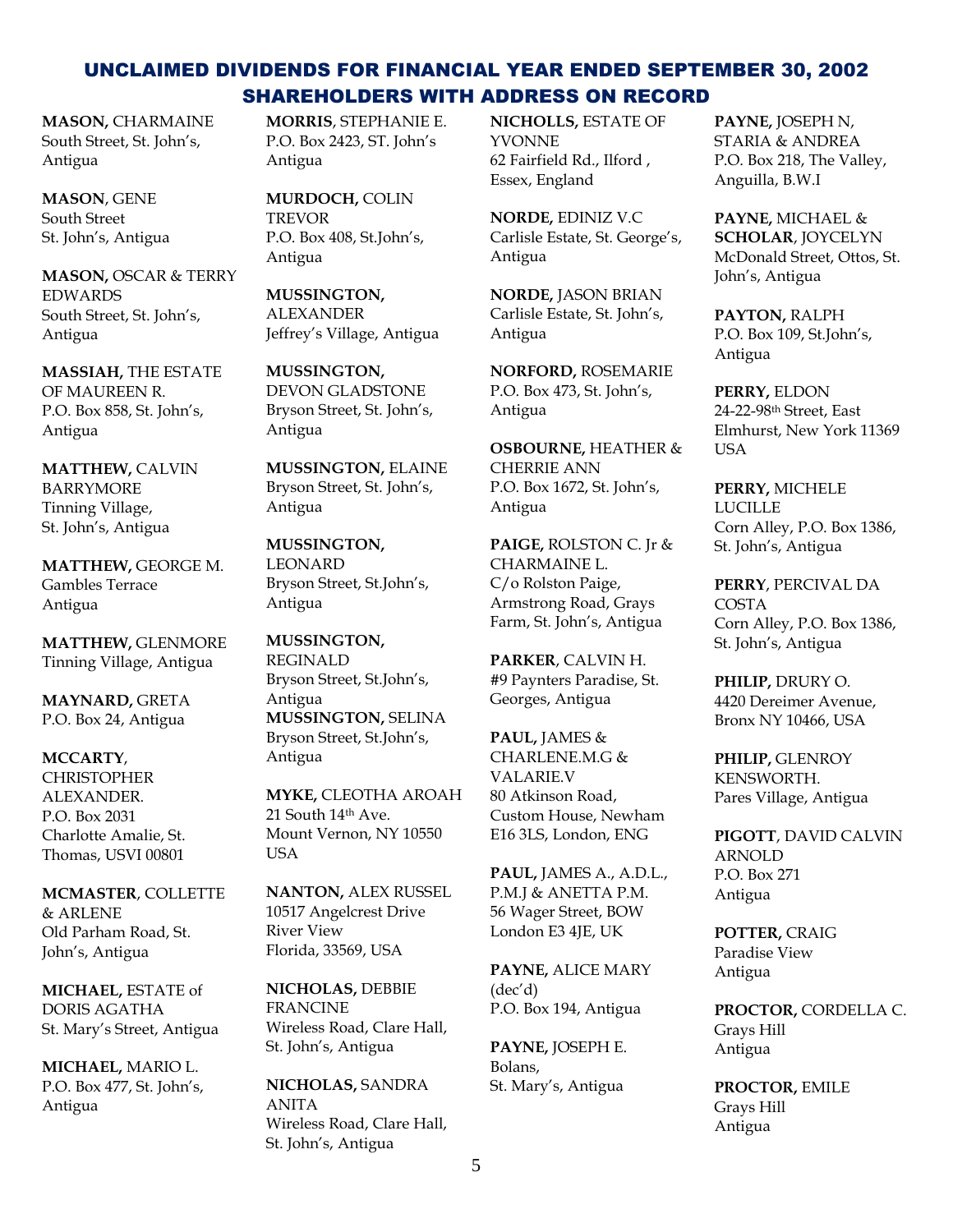**MASON,** CHARMAINE South Street, St. John's, Antigua

**MASON**, GENE South Street St. John's, Antigua

**MASON,** OSCAR & TERRY EDWARDS South Street, St. John's, Antigua

**MASSIAH,** THE ESTATE OF MAUREEN R. P.O. Box 858, St. John's, Antigua

**MATTHEW,** CALVIN BARRYMORE Tinning Village, St. John's, Antigua

**MATTHEW,** GEORGE M. Gambles Terrace Antigua

**MATTHEW,** GLENMORE Tinning Village, Antigua

**MAYNARD,** GRETA P.O. Box 24, Antigua

**MCCARTY**, CHRISTOPHER ALEXANDER. P.O. Box 2031 Charlotte Amalie, St. Thomas, USVI 00801

**MCMASTER**, COLLETTE  $&$  ARI ENE Old Parham Road, St. John's, Antigua

**MICHAEL,** ESTATE of DORIS AGATHA St. Mary's Street, Antigua

**MICHAEL,** MARIO L. P.O. Box 477, St. John's, Antigua

**MORRIS**, STEPHANIE E. P.O. Box 2423, ST. John's Antigua

**MURDOCH,** COLIN TREVOR P.O. Box 408, St.John's, Antigua

**MUSSINGTON,** ALEXANDER Jeffrey's Village, Antigua

**MUSSINGTON,** DEVON GLADSTONE Bryson Street, St. John's, Antigua

**MUSSINGTON,** ELAINE Bryson Street, St. John's, Antigua

**MUSSINGTON,** LEONARD Bryson Street, St.John's, Antigua

**MUSSINGTON,**  REGINALD Bryson Street, St.John's, Antigua **MUSSINGTON,** SELINA Bryson Street, St.John's, Antigua

**MYKE,** CLEOTHA AROAH 21 South 14<sup>th</sup> Ave. Mount Vernon, NY 10550 USA

**NANTON,** ALEX RUSSEL 10517 Angelcrest Drive River View Florida, 33569, USA

**NICHOLAS,** DEBBIE FRANCINE Wireless Road, Clare Hall, St. John's, Antigua

**NICHOLAS,** SANDRA ANITA Wireless Road, Clare Hall, St. John's, Antigua

**NICHOLLS,** ESTATE OF YVONNE 62 Fairfield Rd., Ilford , Essex, England

**NORDE,** EDINIZ V.C Carlisle Estate, St. George's, Antigua

**NORDE,** JASON BRIAN Carlisle Estate, St. John's, Antigua

**NORFORD,** ROSEMARIE P.O. Box 473, St. John's, Antigua

**OSBOURNE,** HEATHER & CHERRIE ANN P.O. Box 1672, St. John's, Antigua

**PAIGE,** ROLSTON C. Jr & CHARMAINE L. C/o Rolston Paige, Armstrong Road, Grays Farm, St. John's, Antigua

**PARKER**, CALVIN H. #9 Paynters Paradise, St. Georges, Antigua

**PAUL,** JAMES & CHARLENE.M.G & VALARIE.V 80 Atkinson Road, Custom House, Newham E16 3LS, London, ENG

**PAUL,** JAMES A., A.D.L., P.M.J & ANETTA P.M. 56 Wager Street, BOW London E3 4JE, UK

**PAYNE,** ALICE MARY (dec'd) P.O. Box 194, Antigua

**PAYNE,** JOSEPH E. Bolans, St. Mary's, Antigua

**PAYNE,** JOSEPH N, STARIA & ANDREA P.O. Box 218, The Valley, Anguilla, B.W.I

**PAYNE,** MICHAEL & **SCHOLAR**, JOYCELYN McDonald Street, Ottos, St. John's, Antigua

**PAYTON,** RALPH P.O. Box 109, St.John's, Antigua

**PERRY,** ELDON 24-22-98th Street, East Elmhurst, New York 11369 **USA** 

**PERRY,** MICHELE LUCILLE Corn Alley, P.O. Box 1386, St. John's, Antigua

**PERRY**, PERCIVAL DA COSTA Corn Alley, P.O. Box 1386, St. John's, Antigua

**PHILIP,** DRURY O. 4420 Dereimer Avenue, Bronx NY 10466, USA

**PHILIP,** GLENROY KENSWORTH. Pares Village, Antigua

**PIGOTT**, DAVID CALVIN ARNOLD P.O. Box 271 Antigua

**POTTER,** CRAIG Paradise View Antigua

**PROCTOR,** CORDELLA C. Grays Hill Antigua

**PROCTOR,** EMILE Grays Hill Antigua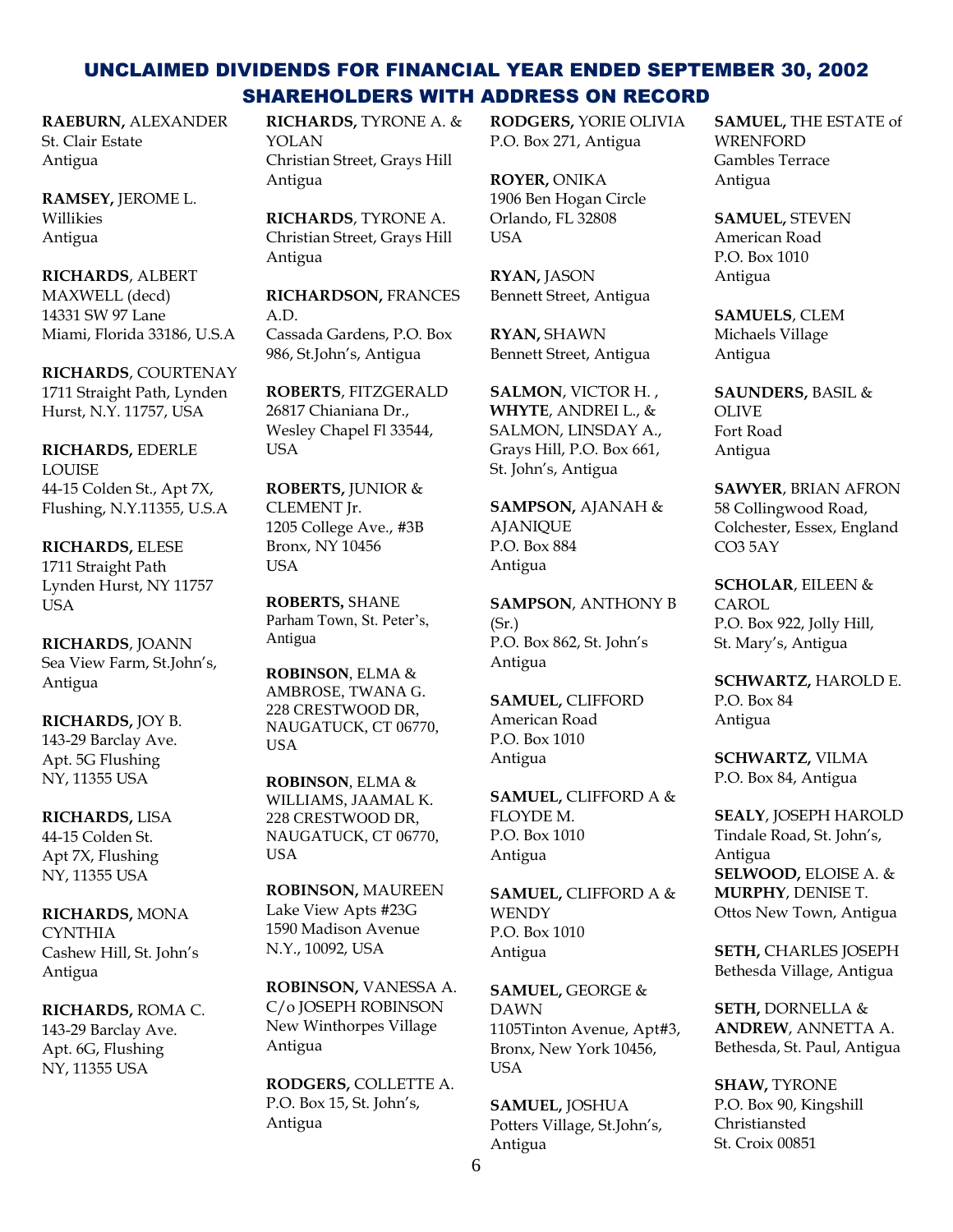**RAEBURN,** ALEXANDER St. Clair Estate Antigua

**RAMSEY,** JEROME L. Willikies Antigua

**RICHARDS**, ALBERT MAXWELL (decd) 14331 SW 97 Lane Miami, Florida 33186, U.S.A

**RICHARDS**, COURTENAY 1711 Straight Path, Lynden Hurst, N.Y. 11757, USA

**RICHARDS,** EDERLE **LOUISE** 44-15 Colden St., Apt 7X, Flushing, N.Y.11355, U.S.A

**RICHARDS,** ELESE 1711 Straight Path Lynden Hurst, NY 11757 **USA** 

**RICHARDS**, JOANN Sea View Farm, St.John's, Antigua

**RICHARDS,** JOY B. 143-29 Barclay Ave. Apt. 5G Flushing NY, 11355 USA

**RICHARDS,** LISA 44-15 Colden St. Apt 7X, Flushing NY, 11355 USA

**RICHARDS,** MONA **CYNTHIA** Cashew Hill, St. John's Antigua

**RICHARDS,** ROMA C. 143-29 Barclay Ave.

Apt. 6G, Flushing NY, 11355 USA

**RICHARDS,** TYRONE A. & YOLAN Christian Street, Grays Hill Antigua

**RICHARDS**, TYRONE A. Christian Street, Grays Hill Antigua

**RICHARDSON,** FRANCES A.D. Cassada Gardens, P.O. Box 986, St.John's, Antigua

**ROBERTS**, FITZGERALD 26817 Chianiana Dr., Wesley Chapel Fl 33544, **USA** 

**ROBERTS,** JUNIOR & CLEMENT Jr. 1205 College Ave., #3B Bronx, NY 10456 USA

**ROBERTS,** SHANE Parham Town, St. Peter's, Antigua

**ROBINSON**, ELMA & AMBROSE, TWANA G. 228 CRESTWOOD DR, NAUGATUCK, CT 06770, USA

**ROBINSON**, ELMA & WILLIAMS, JAAMAL K. 228 CRESTWOOD DR, NAUGATUCK, CT 06770, USA

**ROBINSON,** MAUREEN Lake View Apts #23G 1590 Madison Avenue N.Y., 10092, USA

**ROBINSON,** VANESSA A. C/o JOSEPH ROBINSON New Winthorpes Village Antigua

**RODGERS,** COLLETTE A. P.O. Box 15, St. John's, Antigua

**RODGERS,** YORIE OLIVIA P.O. Box 271, Antigua

**ROYER,** ONIKA 1906 Ben Hogan Circle Orlando, FL 32808 **USA** 

**RYAN,** JASON Bennett Street, Antigua

**RYAN,** SHAWN Bennett Street, Antigua

**SALMON**, VICTOR H. , **WHYTE**, ANDREI L., & SALMON, LINSDAY A., Grays Hill, P.O. Box 661, St. John's, Antigua

**SAMPSON,** AJANAH & **AJANIOUE** P.O. Box 884 Antigua

**SAMPSON**, ANTHONY B (Sr.) P.O. Box 862, St. John's Antigua

**SAMUEL,** CLIFFORD American Road P.O. Box 1010 Antigua

**SAMUEL,** CLIFFORD A & FLOYDE M. P.O. Box 1010 Antigua

**SAMUEL,** CLIFFORD A & **WENDY** P.O. Box 1010 Antigua

**SAMUEL,** GEORGE & DAWN 1105Tinton Avenue, Apt#3, Bronx, New York 10456, **USA** 

**SAMUEL,** JOSHUA Potters Village, St.John's, Antigua

**SAMUEL,** THE ESTATE of **WRENFORD** Gambles Terrace Antigua

**SAMUEL,** STEVEN American Road P.O. Box 1010 Antigua

**SAMUELS**, CLEM Michaels Village Antigua

**SAUNDERS,** BASIL & OLIVE Fort Road Antigua

**SAWYER**, BRIAN AFRON 58 Collingwood Road, Colchester, Essex, England CO3 5AY

**SCHOLAR**, EILEEN & CAROL P.O. Box 922, Jolly Hill, St. Mary's, Antigua

**SCHWARTZ,** HAROLD E. P.O. Box 84 Antigua

**SCHWARTZ,** VILMA P.O. Box 84, Antigua

**SEALY**, JOSEPH HAROLD Tindale Road, St. John's, Antigua **SELWOOD,** ELOISE A. & **MURPHY**, DENISE T. Ottos New Town, Antigua

**SETH,** CHARLES JOSEPH Bethesda Village, Antigua

**SETH,** DORNELLA & **ANDREW**, ANNETTA A. Bethesda, St. Paul, Antigua

**SHAW,** TYRONE P.O. Box 90, Kingshill Christiansted St. Croix 00851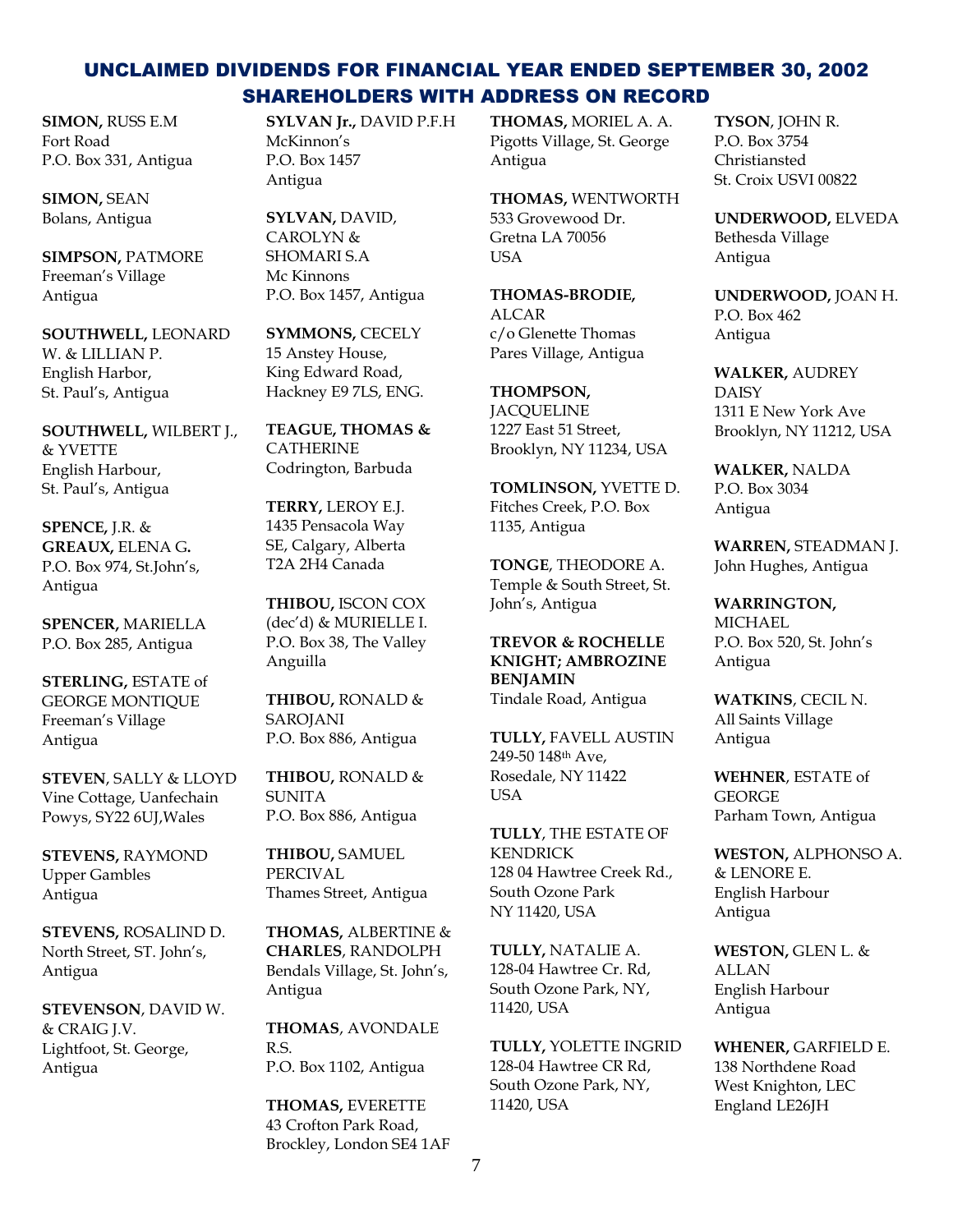**SIMON,** RUSS E.M Fort Road P.O. Box 331, Antigua

**SIMON,** SEAN Bolans, Antigua

**SIMPSON,** PATMORE Freeman's Village Antigua

**SOUTHWELL,** LEONARD W. & LILLIAN P. English Harbor, St. Paul's, Antigua

**SOUTHWELL,** WILBERT J., & YVETTE English Harbour, St. Paul's, Antigua

**SPENCE,** J.R. & **GREAUX,** ELENA G**.** P.O. Box 974, St.John's, Antigua

**SPENCER,** MARIELLA P.O. Box 285, Antigua

**STERLING,** ESTATE of GEORGE MONTIQUE Freeman's Village Antigua

**STEVEN**, SALLY & LLOYD Vine Cottage, Uanfechain Powys, SY22 6UJ,Wales

**STEVENS,** RAYMOND Upper Gambles Antigua

**STEVENS,** ROSALIND D. North Street, ST. John's, Antigua

**STEVENSON**, DAVID W. & CRAIG J.V. Lightfoot, St. George, Antigua

**SYLVAN Jr.,** DAVID P.F.H McKinnon's P.O. Box 1457 Antigua

**SYLVAN,** DAVID, CAROLYN & SHOMARI S.A Mc Kinnons P.O. Box 1457, Antigua

**SYMMONS,** CECELY 15 Anstey House, King Edward Road, Hackney E9 7LS, ENG.

**TEAGUE, THOMAS & CATHERINE** Codrington, Barbuda

**TERRY,** LEROY E.J. 1435 Pensacola Way SE, Calgary, Alberta T2A 2H4 Canada

**THIBOU,** ISCON COX (dec'd) & MURIELLE I. P.O. Box 38, The Valley Anguilla

**THIBOU,** RONALD & SAROJANI P.O. Box 886, Antigua

**THIBOU,** RONALD & **SUNITA** P.O. Box 886, Antigua

**THIBOU,** SAMUEL PERCIVAL Thames Street, Antigua

**THOMAS,** ALBERTINE & **CHARLES**, RANDOLPH Bendals Village, St. John's, Antigua

**THOMAS**, AVONDALE R.S. P.O. Box 1102, Antigua

**THOMAS,** EVERETTE 43 Crofton Park Road, Brockley, London SE4 1AF **THOMAS,** MORIEL A. A. Pigotts Village, St. George Antigua

**THOMAS,** WENTWORTH 533 Grovewood Dr. Gretna LA 70056 USA

**THOMAS-BRODIE,**  ALCAR c/o Glenette Thomas Pares Village, Antigua

**THOMPSON, JACOUELINE** 1227 East 51 Street, Brooklyn, NY 11234, USA

**TOMLINSON,** YVETTE D. Fitches Creek, P.O. Box 1135, Antigua

**TONGE**, THEODORE A. Temple & South Street, St. John's, Antigua

**TREVOR & ROCHELLE KNIGHT; AMBROZINE BENJAMIN** Tindale Road, Antigua

**TULLY,** FAVELL AUSTIN 249-50 148th Ave, Rosedale, NY 11422 USA

**TULLY**, THE ESTATE OF KENDRICK 128 04 Hawtree Creek Rd., South Ozone Park NY 11420, USA

**TULLY,** NATALIE A. 128-04 Hawtree Cr. Rd, South Ozone Park, NY, 11420, USA

**TULLY,** YOLETTE INGRID 128-04 Hawtree CR Rd, South Ozone Park, NY, 11420, USA

**TYSON**, JOHN R. P.O. Box 3754 Christiansted St. Croix USVI 00822

**UNDERWOOD,** ELVEDA Bethesda Village Antigua

**UNDERWOOD,** JOAN H. P.O. Box 462 Antigua

**WALKER,** AUDREY **DAISY** 1311 E New York Ave Brooklyn, NY 11212, USA

**WALKER,** NALDA P.O. Box 3034 Antigua

**WARREN,** STEADMAN J. John Hughes, Antigua

**WARRINGTON, MICHAEL** P.O. Box 520, St. John's Antigua

**WATKINS**, CECIL N. All Saints Village Antigua

**WEHNER**, ESTATE of **GEORGE** Parham Town, Antigua

**WESTON,** ALPHONSO A. & LENORE E. English Harbour Antigua

**WESTON,** GLEN L. & ALLAN English Harbour Antigua

**WHENER,** GARFIELD E. 138 Northdene Road West Knighton, LEC England LE26JH